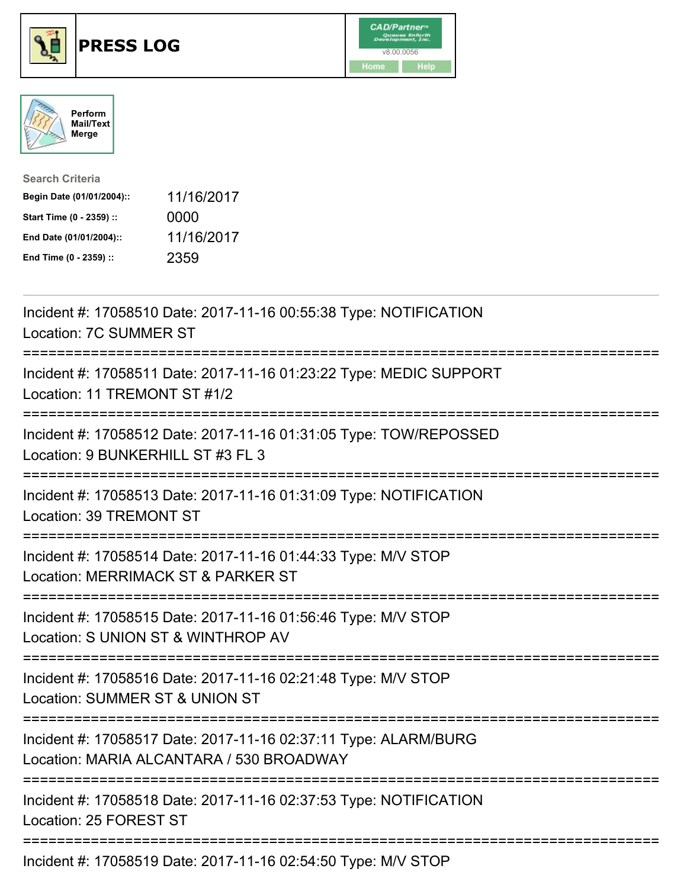





| <b>Search Criteria</b>    |            |
|---------------------------|------------|
| Begin Date (01/01/2004):: | 11/16/2017 |
| Start Time (0 - 2359) ::  | 0000       |
| End Date (01/01/2004)::   | 11/16/2017 |
| End Time (0 - 2359) ::    | 2359       |

| Incident #: 17058510 Date: 2017-11-16 00:55:38 Type: NOTIFICATION<br>Location: 7C SUMMER ST<br>==============                                       |
|-----------------------------------------------------------------------------------------------------------------------------------------------------|
| Incident #: 17058511 Date: 2017-11-16 01:23:22 Type: MEDIC SUPPORT<br>Location: 11 TREMONT ST #1/2                                                  |
| Incident #: 17058512 Date: 2017-11-16 01:31:05 Type: TOW/REPOSSED<br>Location: 9 BUNKERHILL ST #3 FL 3                                              |
| Incident #: 17058513 Date: 2017-11-16 01:31:09 Type: NOTIFICATION<br>Location: 39 TREMONT ST                                                        |
| Incident #: 17058514 Date: 2017-11-16 01:44:33 Type: M/V STOP<br>Location: MERRIMACK ST & PARKER ST<br>--------------------------                   |
| Incident #: 17058515 Date: 2017-11-16 01:56:46 Type: M/V STOP<br>Location: S UNION ST & WINTHROP AV<br>--------------------------                   |
| Incident #: 17058516 Date: 2017-11-16 02:21:48 Type: M/V STOP<br>Location: SUMMER ST & UNION ST<br>;=========================<br>------------------ |
| Incident #: 17058517 Date: 2017-11-16 02:37:11 Type: ALARM/BURG<br>Location: MARIA ALCANTARA / 530 BROADWAY<br>=================================    |
| Incident #: 17058518 Date: 2017-11-16 02:37:53 Type: NOTIFICATION<br>Location: 25 FOREST ST                                                         |
| Incident #: 17058519 Date: 2017-11-16 02:54:50 Type: M/V STOP                                                                                       |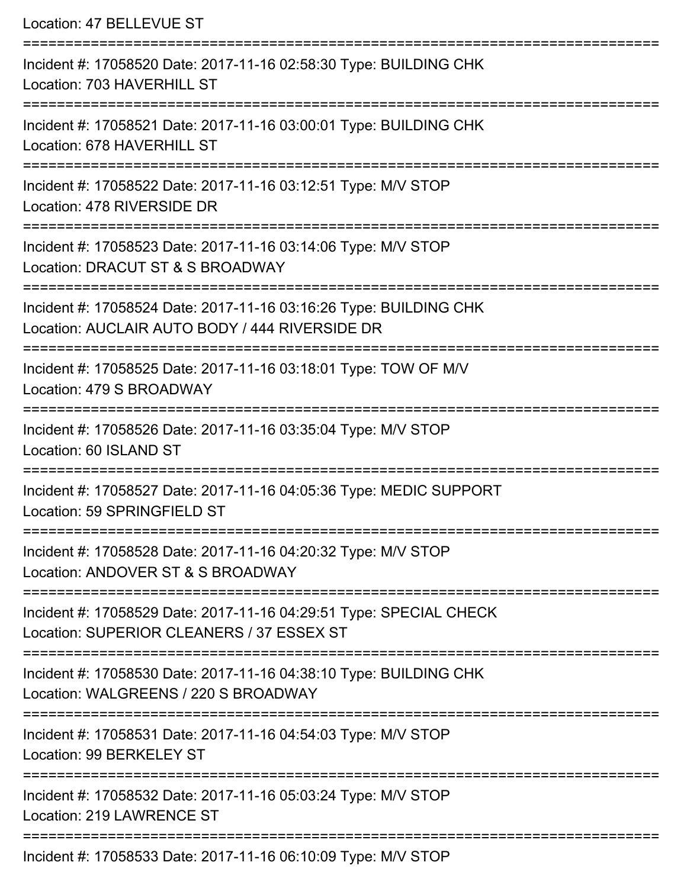| Location: 47 BELLEVUE ST                                                                                                                |
|-----------------------------------------------------------------------------------------------------------------------------------------|
| Incident #: 17058520 Date: 2017-11-16 02:58:30 Type: BUILDING CHK<br>Location: 703 HAVERHILL ST                                         |
| Incident #: 17058521 Date: 2017-11-16 03:00:01 Type: BUILDING CHK<br>Location: 678 HAVERHILL ST                                         |
| Incident #: 17058522 Date: 2017-11-16 03:12:51 Type: M/V STOP<br>Location: 478 RIVERSIDE DR                                             |
| Incident #: 17058523 Date: 2017-11-16 03:14:06 Type: M/V STOP<br>Location: DRACUT ST & S BROADWAY<br>.--------------------------------- |
| Incident #: 17058524 Date: 2017-11-16 03:16:26 Type: BUILDING CHK<br>Location: AUCLAIR AUTO BODY / 444 RIVERSIDE DR                     |
| Incident #: 17058525 Date: 2017-11-16 03:18:01 Type: TOW OF M/V<br>Location: 479 S BROADWAY                                             |
| Incident #: 17058526 Date: 2017-11-16 03:35:04 Type: M/V STOP<br>Location: 60 ISLAND ST                                                 |
| Incident #: 17058527 Date: 2017-11-16 04:05:36 Type: MEDIC SUPPORT<br>Location: 59 SPRINGFIELD ST                                       |
| Incident #: 17058528 Date: 2017-11-16 04:20:32 Type: M/V STOP<br>Location: ANDOVER ST & S BROADWAY                                      |
| Incident #: 17058529 Date: 2017-11-16 04:29:51 Type: SPECIAL CHECK<br>Location: SUPERIOR CLEANERS / 37 ESSEX ST                         |
| Incident #: 17058530 Date: 2017-11-16 04:38:10 Type: BUILDING CHK<br>Location: WALGREENS / 220 S BROADWAY                               |
| Incident #: 17058531 Date: 2017-11-16 04:54:03 Type: M/V STOP<br>Location: 99 BERKELEY ST                                               |
| Incident #: 17058532 Date: 2017-11-16 05:03:24 Type: M/V STOP<br>Location: 219 LAWRENCE ST                                              |
|                                                                                                                                         |

Incident #: 17058533 Date: 2017-11-16 06:10:09 Type: M/V STOP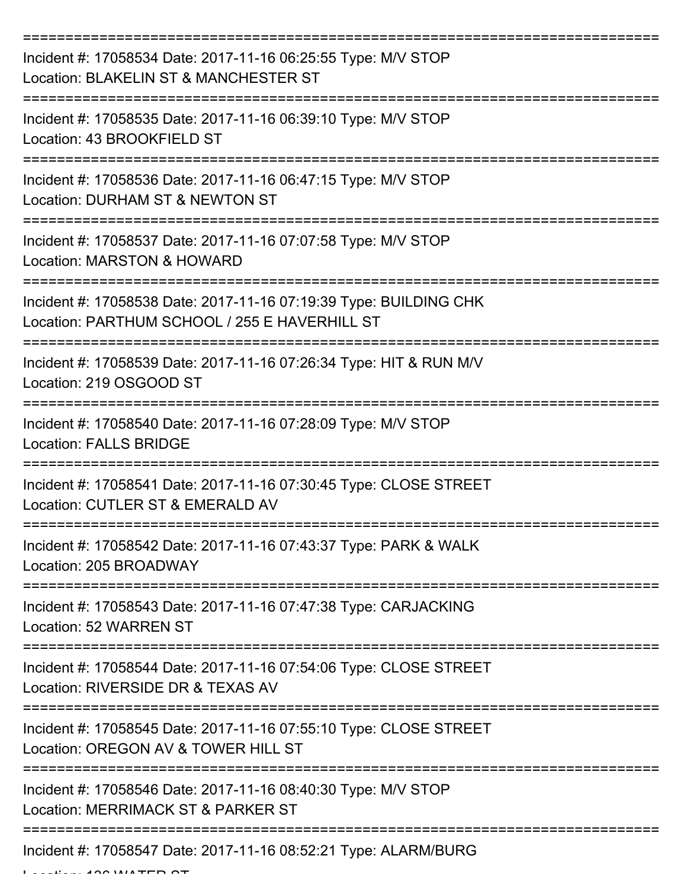| Incident #: 17058534 Date: 2017-11-16 06:25:55 Type: M/V STOP<br>Location: BLAKELIN ST & MANCHESTER ST             |
|--------------------------------------------------------------------------------------------------------------------|
| Incident #: 17058535 Date: 2017-11-16 06:39:10 Type: M/V STOP<br>Location: 43 BROOKFIELD ST                        |
| Incident #: 17058536 Date: 2017-11-16 06:47:15 Type: M/V STOP<br>Location: DURHAM ST & NEWTON ST                   |
| Incident #: 17058537 Date: 2017-11-16 07:07:58 Type: M/V STOP<br>Location: MARSTON & HOWARD                        |
| Incident #: 17058538 Date: 2017-11-16 07:19:39 Type: BUILDING CHK<br>Location: PARTHUM SCHOOL / 255 E HAVERHILL ST |
| Incident #: 17058539 Date: 2017-11-16 07:26:34 Type: HIT & RUN M/V<br>Location: 219 OSGOOD ST                      |
| Incident #: 17058540 Date: 2017-11-16 07:28:09 Type: M/V STOP<br><b>Location: FALLS BRIDGE</b>                     |
| Incident #: 17058541 Date: 2017-11-16 07:30:45 Type: CLOSE STREET<br>Location: CUTLER ST & EMERALD AV              |
| Incident #: 17058542 Date: 2017-11-16 07:43:37 Type: PARK & WALK<br>Location: 205 BROADWAY                         |
| Incident #: 17058543 Date: 2017-11-16 07:47:38 Type: CARJACKING<br>Location: 52 WARREN ST                          |
| Incident #: 17058544 Date: 2017-11-16 07:54:06 Type: CLOSE STREET<br>Location: RIVERSIDE DR & TEXAS AV             |
| Incident #: 17058545 Date: 2017-11-16 07:55:10 Type: CLOSE STREET<br>Location: OREGON AV & TOWER HILL ST           |
| Incident #: 17058546 Date: 2017-11-16 08:40:30 Type: M/V STOP<br>Location: MERRIMACK ST & PARKER ST                |
| Incident #: 17058547 Date: 2017-11-16 08:52:21 Type: ALARM/BURG                                                    |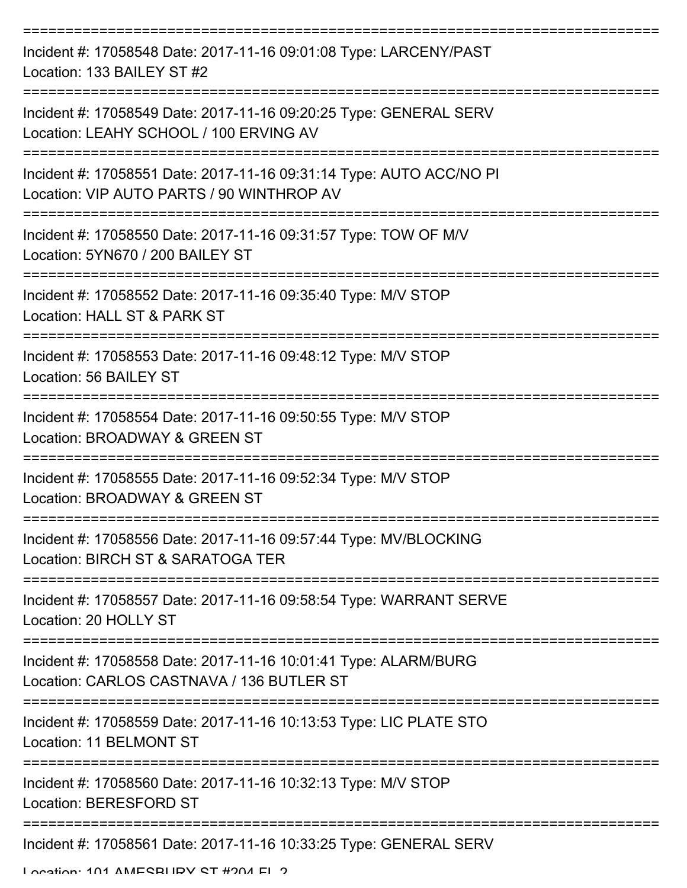| Incident #: 17058548 Date: 2017-11-16 09:01:08 Type: LARCENY/PAST<br>Location: 133 BAILEY ST #2                  |
|------------------------------------------------------------------------------------------------------------------|
| Incident #: 17058549 Date: 2017-11-16 09:20:25 Type: GENERAL SERV<br>Location: LEAHY SCHOOL / 100 ERVING AV      |
| Incident #: 17058551 Date: 2017-11-16 09:31:14 Type: AUTO ACC/NO PI<br>Location: VIP AUTO PARTS / 90 WINTHROP AV |
| Incident #: 17058550 Date: 2017-11-16 09:31:57 Type: TOW OF M/V<br>Location: 5YN670 / 200 BAILEY ST              |
| Incident #: 17058552 Date: 2017-11-16 09:35:40 Type: M/V STOP<br>Location: HALL ST & PARK ST                     |
| Incident #: 17058553 Date: 2017-11-16 09:48:12 Type: M/V STOP<br>Location: 56 BAILEY ST                          |
| Incident #: 17058554 Date: 2017-11-16 09:50:55 Type: M/V STOP<br>Location: BROADWAY & GREEN ST                   |
| Incident #: 17058555 Date: 2017-11-16 09:52:34 Type: M/V STOP<br>Location: BROADWAY & GREEN ST                   |
| Incident #: 17058556 Date: 2017-11-16 09:57:44 Type: MV/BLOCKING<br>Location: BIRCH ST & SARATOGA TER            |
| Incident #: 17058557 Date: 2017-11-16 09:58:54 Type: WARRANT SERVE<br>Location: 20 HOLLY ST                      |
| Incident #: 17058558 Date: 2017-11-16 10:01:41 Type: ALARM/BURG<br>Location: CARLOS CASTNAVA / 136 BUTLER ST     |
| Incident #: 17058559 Date: 2017-11-16 10:13:53 Type: LIC PLATE STO<br>Location: 11 BELMONT ST                    |
| Incident #: 17058560 Date: 2017-11-16 10:32:13 Type: M/V STOP<br>Location: BERESFORD ST                          |
| Incident #: 17058561 Date: 2017-11-16 10:33:25 Type: GENERAL SERV<br>Location: 101 AMECRHIDV CT #204 EL 2        |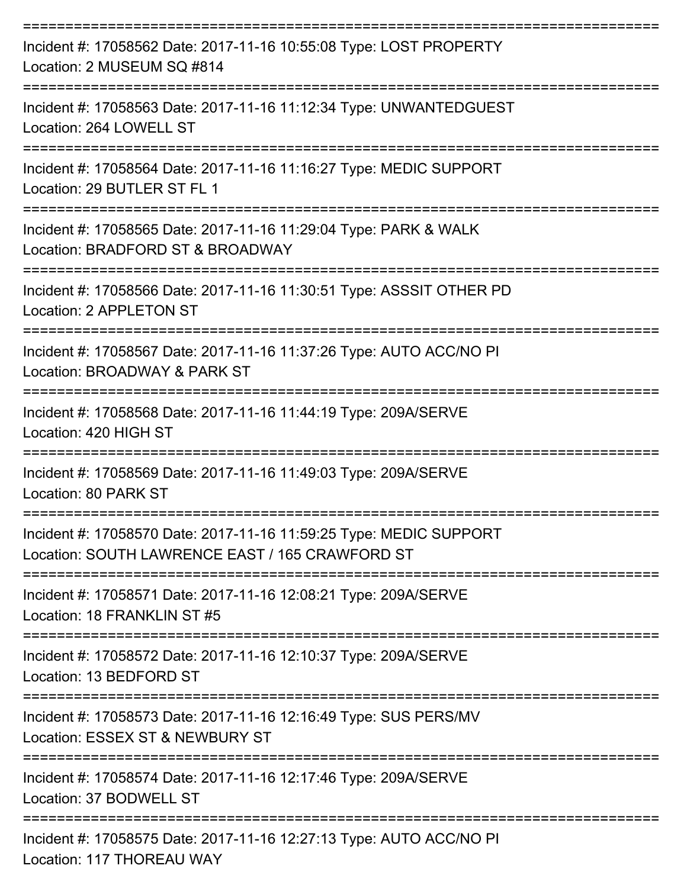| Incident #: 17058562 Date: 2017-11-16 10:55:08 Type: LOST PROPERTY<br>Location: 2 MUSEUM SQ #814                      |
|-----------------------------------------------------------------------------------------------------------------------|
| Incident #: 17058563 Date: 2017-11-16 11:12:34 Type: UNWANTEDGUEST<br>Location: 264 LOWELL ST                         |
| Incident #: 17058564 Date: 2017-11-16 11:16:27 Type: MEDIC SUPPORT<br>Location: 29 BUTLER ST FL 1                     |
| Incident #: 17058565 Date: 2017-11-16 11:29:04 Type: PARK & WALK<br>Location: BRADFORD ST & BROADWAY                  |
| Incident #: 17058566 Date: 2017-11-16 11:30:51 Type: ASSSIT OTHER PD<br>Location: 2 APPLETON ST                       |
| Incident #: 17058567 Date: 2017-11-16 11:37:26 Type: AUTO ACC/NO PI<br>Location: BROADWAY & PARK ST                   |
| Incident #: 17058568 Date: 2017-11-16 11:44:19 Type: 209A/SERVE<br>Location: 420 HIGH ST                              |
| Incident #: 17058569 Date: 2017-11-16 11:49:03 Type: 209A/SERVE<br>Location: 80 PARK ST                               |
| Incident #: 17058570 Date: 2017-11-16 11:59:25 Type: MEDIC SUPPORT<br>Location: SOUTH LAWRENCE EAST / 165 CRAWFORD ST |
| Incident #: 17058571 Date: 2017-11-16 12:08:21 Type: 209A/SERVE<br>Location: 18 FRANKLIN ST #5                        |
| Incident #: 17058572 Date: 2017-11-16 12:10:37 Type: 209A/SERVE<br>Location: 13 BEDFORD ST                            |
| Incident #: 17058573 Date: 2017-11-16 12:16:49 Type: SUS PERS/MV<br>Location: ESSEX ST & NEWBURY ST                   |
| Incident #: 17058574 Date: 2017-11-16 12:17:46 Type: 209A/SERVE<br>Location: 37 BODWELL ST                            |
| Incident #: 17058575 Date: 2017-11-16 12:27:13 Type: AUTO ACC/NO PI<br>Location: 117 THOREAU WAY                      |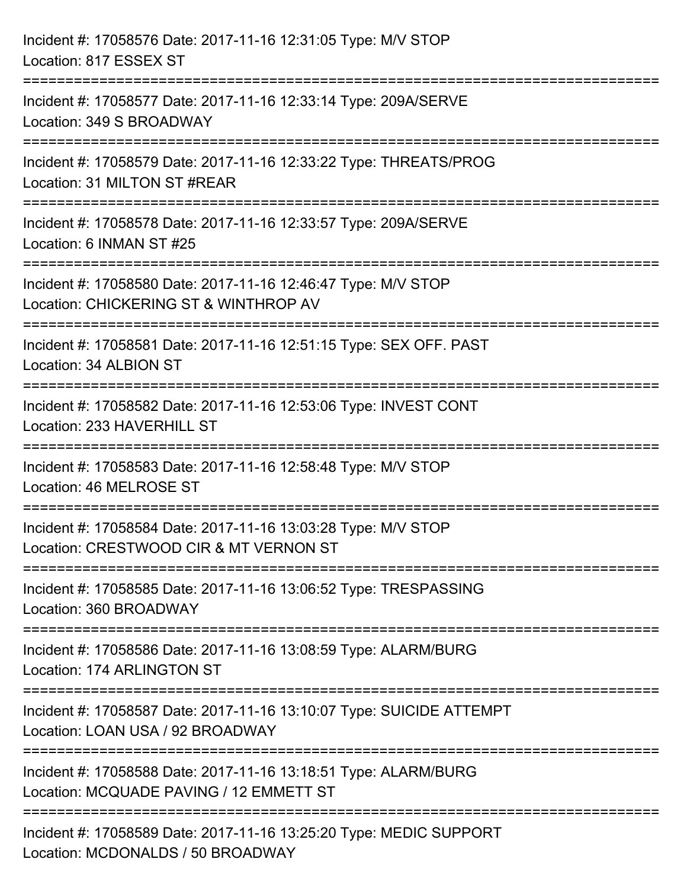| Incident #: 17058576 Date: 2017-11-16 12:31:05 Type: M/V STOP<br>Location: 817 ESSEX ST                                          |
|----------------------------------------------------------------------------------------------------------------------------------|
| ==========================<br>Incident #: 17058577 Date: 2017-11-16 12:33:14 Type: 209A/SERVE<br>Location: 349 S BROADWAY        |
| Incident #: 17058579 Date: 2017-11-16 12:33:22 Type: THREATS/PROG<br>Location: 31 MILTON ST #REAR<br>=========================   |
| Incident #: 17058578 Date: 2017-11-16 12:33:57 Type: 209A/SERVE<br>Location: 6 INMAN ST #25                                      |
| Incident #: 17058580 Date: 2017-11-16 12:46:47 Type: M/V STOP<br>Location: CHICKERING ST & WINTHROP AV<br>====================== |
| Incident #: 17058581 Date: 2017-11-16 12:51:15 Type: SEX OFF. PAST<br>Location: 34 ALBION ST                                     |
| Incident #: 17058582 Date: 2017-11-16 12:53:06 Type: INVEST CONT<br>Location: 233 HAVERHILL ST                                   |
| Incident #: 17058583 Date: 2017-11-16 12:58:48 Type: M/V STOP<br>Location: 46 MELROSE ST                                         |
| Incident #: 17058584 Date: 2017-11-16 13:03:28 Type: M/V STOP<br>Location: CRESTWOOD CIR & MT VERNON ST                          |
| Incident #: 17058585 Date: 2017-11-16 13:06:52 Type: TRESPASSING<br>Location: 360 BROADWAY                                       |
| Incident #: 17058586 Date: 2017-11-16 13:08:59 Type: ALARM/BURG<br>Location: 174 ARLINGTON ST                                    |
| Incident #: 17058587 Date: 2017-11-16 13:10:07 Type: SUICIDE ATTEMPT<br>Location: LOAN USA / 92 BROADWAY                         |
| Incident #: 17058588 Date: 2017-11-16 13:18:51 Type: ALARM/BURG<br>Location: MCQUADE PAVING / 12 EMMETT ST                       |
| Incident #: 17058589 Date: 2017-11-16 13:25:20 Type: MEDIC SUPPORT<br>Location: MCDONALDS / 50 BROADWAY                          |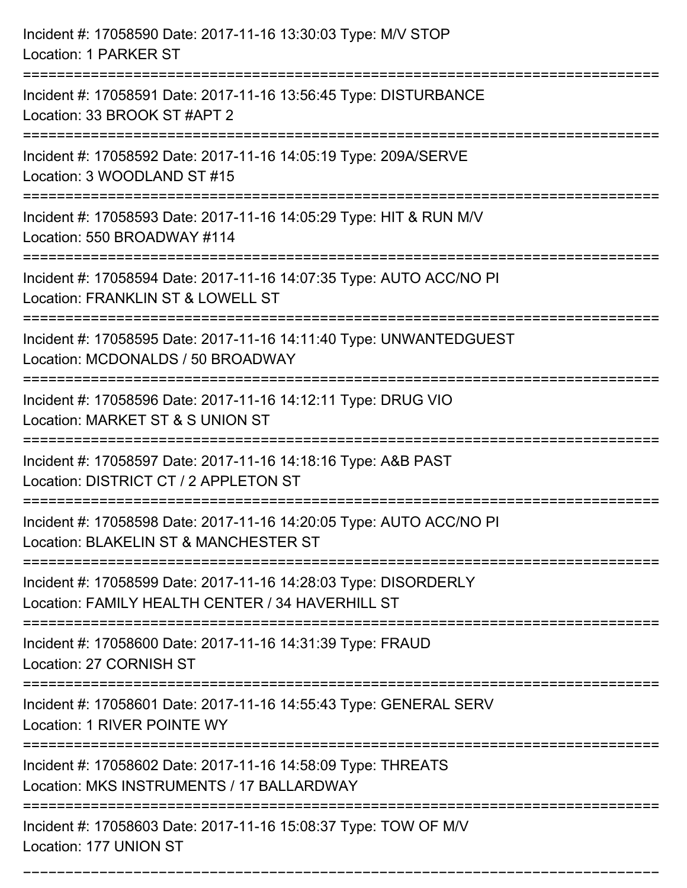| Incident #: 17058590 Date: 2017-11-16 13:30:03 Type: M/V STOP<br>Location: 1 PARKER ST                                                                                    |
|---------------------------------------------------------------------------------------------------------------------------------------------------------------------------|
| ==========================<br>Incident #: 17058591 Date: 2017-11-16 13:56:45 Type: DISTURBANCE<br>Location: 33 BROOK ST #APT 2                                            |
| Incident #: 17058592 Date: 2017-11-16 14:05:19 Type: 209A/SERVE<br>Location: 3 WOODLAND ST #15<br>:====================================<br>============================== |
| Incident #: 17058593 Date: 2017-11-16 14:05:29 Type: HIT & RUN M/V<br>Location: 550 BROADWAY #114                                                                         |
| Incident #: 17058594 Date: 2017-11-16 14:07:35 Type: AUTO ACC/NO PI<br>Location: FRANKLIN ST & LOWELL ST<br>-----------------                                             |
| Incident #: 17058595 Date: 2017-11-16 14:11:40 Type: UNWANTEDGUEST<br>Location: MCDONALDS / 50 BROADWAY                                                                   |
| Incident #: 17058596 Date: 2017-11-16 14:12:11 Type: DRUG VIO<br>Location: MARKET ST & S UNION ST                                                                         |
| Incident #: 17058597 Date: 2017-11-16 14:18:16 Type: A&B PAST<br>Location: DISTRICT CT / 2 APPLETON ST                                                                    |
| Incident #: 17058598 Date: 2017-11-16 14:20:05 Type: AUTO ACC/NO PI<br>Location: BLAKELIN ST & MANCHESTER ST                                                              |
| Incident #: 17058599 Date: 2017-11-16 14:28:03 Type: DISORDERLY<br>Location: FAMILY HEALTH CENTER / 34 HAVERHILL ST                                                       |
| Incident #: 17058600 Date: 2017-11-16 14:31:39 Type: FRAUD<br>Location: 27 CORNISH ST                                                                                     |
| Incident #: 17058601 Date: 2017-11-16 14:55:43 Type: GENERAL SERV<br>Location: 1 RIVER POINTE WY                                                                          |
| Incident #: 17058602 Date: 2017-11-16 14:58:09 Type: THREATS<br>Location: MKS INSTRUMENTS / 17 BALLARDWAY                                                                 |
| Incident #: 17058603 Date: 2017-11-16 15:08:37 Type: TOW OF M/V<br>Location: 177 UNION ST                                                                                 |

===========================================================================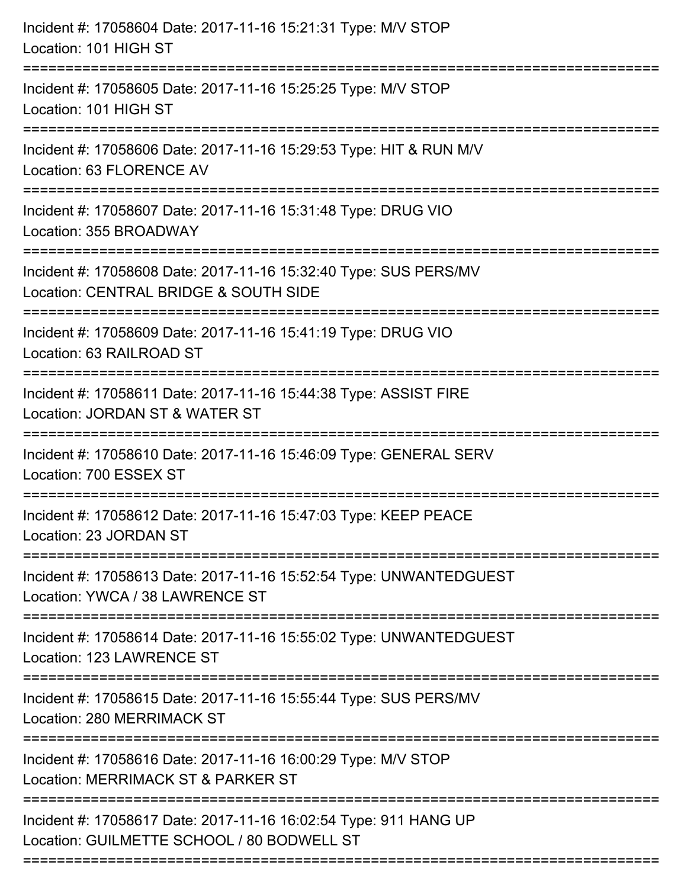| Incident #: 17058604 Date: 2017-11-16 15:21:31 Type: M/V STOP<br>Location: 101 HIGH ST                                                |
|---------------------------------------------------------------------------------------------------------------------------------------|
| Incident #: 17058605 Date: 2017-11-16 15:25:25 Type: M/V STOP<br>Location: 101 HIGH ST                                                |
| Incident #: 17058606 Date: 2017-11-16 15:29:53 Type: HIT & RUN M/V<br>Location: 63 FLORENCE AV<br>:================================== |
| Incident #: 17058607 Date: 2017-11-16 15:31:48 Type: DRUG VIO<br>Location: 355 BROADWAY                                               |
| Incident #: 17058608 Date: 2017-11-16 15:32:40 Type: SUS PERS/MV<br>Location: CENTRAL BRIDGE & SOUTH SIDE<br>==============           |
| Incident #: 17058609 Date: 2017-11-16 15:41:19 Type: DRUG VIO<br>Location: 63 RAILROAD ST                                             |
| Incident #: 17058611 Date: 2017-11-16 15:44:38 Type: ASSIST FIRE<br>Location: JORDAN ST & WATER ST                                    |
| Incident #: 17058610 Date: 2017-11-16 15:46:09 Type: GENERAL SERV<br>Location: 700 ESSEX ST                                           |
| Incident #: 17058612 Date: 2017-11-16 15:47:03 Type: KEEP PEACE<br>Location: 23 JORDAN ST                                             |
| Incident #: 17058613 Date: 2017-11-16 15:52:54 Type: UNWANTEDGUEST<br>Location: YWCA / 38 LAWRENCE ST                                 |
| Incident #: 17058614 Date: 2017-11-16 15:55:02 Type: UNWANTEDGUEST<br>Location: 123 LAWRENCE ST                                       |
| Incident #: 17058615 Date: 2017-11-16 15:55:44 Type: SUS PERS/MV<br><b>Location: 280 MERRIMACK ST</b>                                 |
| Incident #: 17058616 Date: 2017-11-16 16:00:29 Type: M/V STOP<br>Location: MERRIMACK ST & PARKER ST                                   |
| Incident #: 17058617 Date: 2017-11-16 16:02:54 Type: 911 HANG UP<br>Location: GUILMETTE SCHOOL / 80 BODWELL ST                        |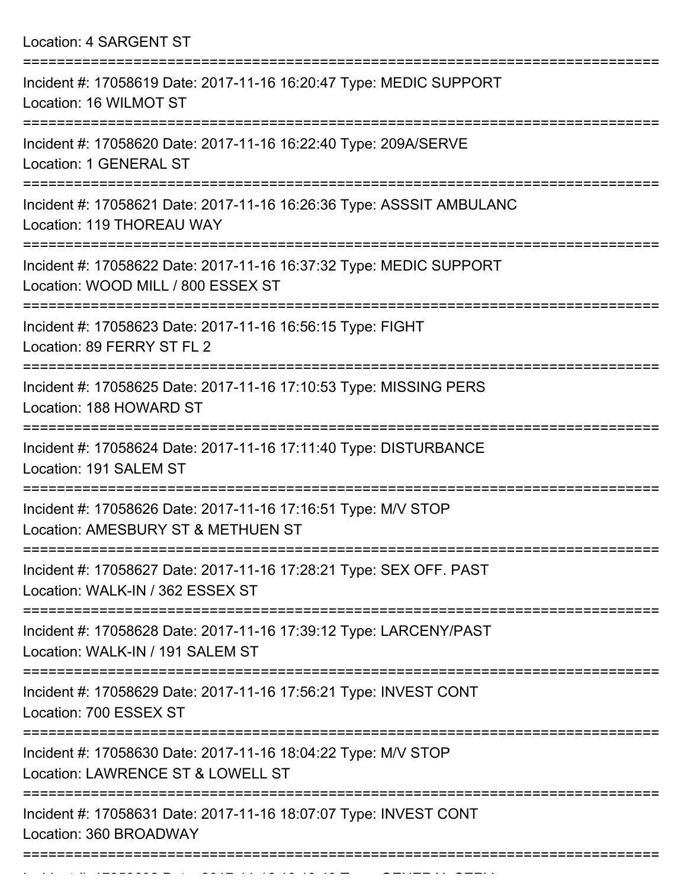|  | Location: 4 SARGENT ST |  |
|--|------------------------|--|
|--|------------------------|--|

| Incident #: 17058619 Date: 2017-11-16 16:20:47 Type: MEDIC SUPPORT<br>Location: 16 WILMOT ST             |
|----------------------------------------------------------------------------------------------------------|
| Incident #: 17058620 Date: 2017-11-16 16:22:40 Type: 209A/SERVE<br>Location: 1 GENERAL ST                |
| Incident #: 17058621 Date: 2017-11-16 16:26:36 Type: ASSSIT AMBULANC<br>Location: 119 THOREAU WAY        |
| Incident #: 17058622 Date: 2017-11-16 16:37:32 Type: MEDIC SUPPORT<br>Location: WOOD MILL / 800 ESSEX ST |
| Incident #: 17058623 Date: 2017-11-16 16:56:15 Type: FIGHT<br>Location: 89 FERRY ST FL 2                 |
| Incident #: 17058625 Date: 2017-11-16 17:10:53 Type: MISSING PERS<br>Location: 188 HOWARD ST             |
| Incident #: 17058624 Date: 2017-11-16 17:11:40 Type: DISTURBANCE<br>Location: 191 SALEM ST               |
| Incident #: 17058626 Date: 2017-11-16 17:16:51 Type: M/V STOP<br>Location: AMESBURY ST & METHUEN ST      |
| Incident #: 17058627 Date: 2017-11-16 17:28:21 Type: SEX OFF. PAST<br>Location: WALK-IN / 362 ESSEX ST   |
| Incident #: 17058628 Date: 2017-11-16 17:39:12 Type: LARCENY/PAST<br>Location: WALK-IN / 191 SALEM ST    |
| Incident #: 17058629 Date: 2017-11-16 17:56:21 Type: INVEST CONT<br>Location: 700 ESSEX ST               |
| Incident #: 17058630 Date: 2017-11-16 18:04:22 Type: M/V STOP<br>Location: LAWRENCE ST & LOWELL ST       |
| Incident #: 17058631 Date: 2017-11-16 18:07:07 Type: INVEST CONT<br>Location: 360 BROADWAY               |

Incident #: 1705863 Date: 2017 11 16 16 16 16 1705 Type: GENERAL SERVICE<br>.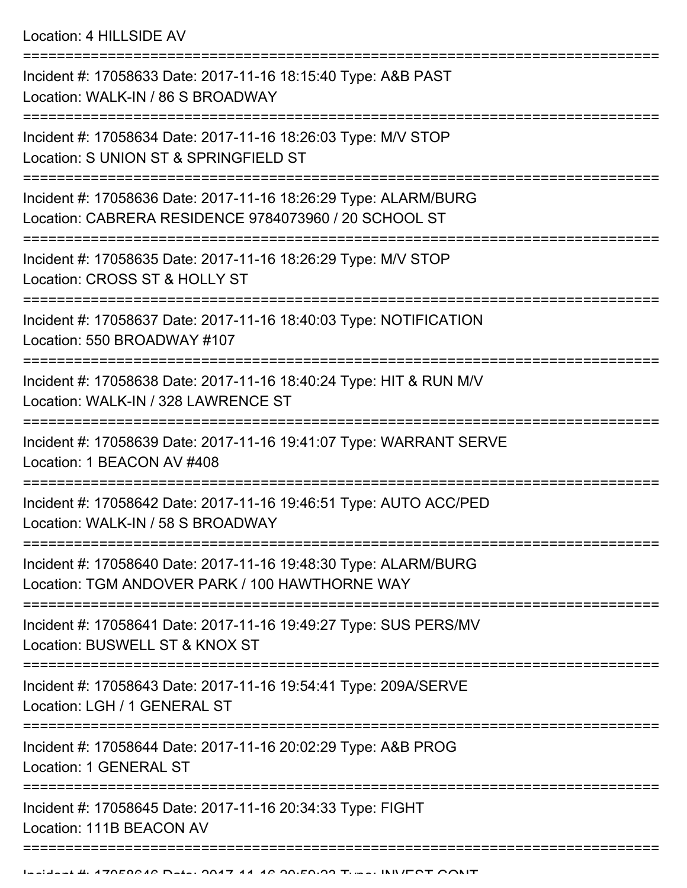Location: 4 HILLSIDE AV